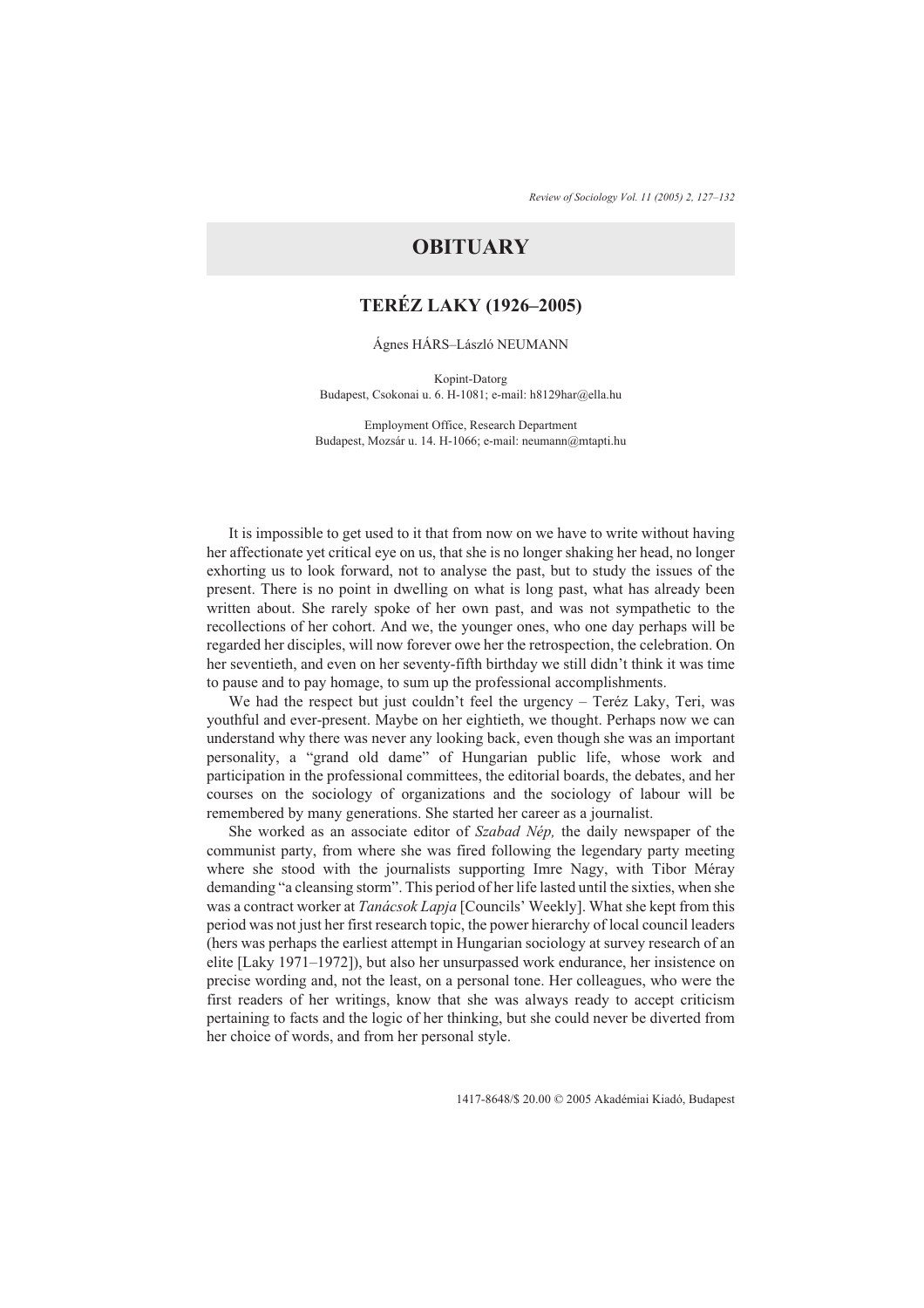# **OBITUARY**

## **TERÉZ LAKY (1926–2005)**

#### Ágnes HÁRS–László NEUMANN

Kopint-Datorg Budapest, Csokonai u. 6. H-1081; e-mail: h8129har@ella.hu

Employment Office, Research Department Budapest, Mozsár u. 14. H-1066; e-mail: neumann@mtapti.hu

It is impossible to get used to it that from now on we have to write without having her affectionate yet critical eye on us, that she is no longer shaking her head, no longer exhorting us to look forward, not to analyse the past, but to study the issues of the present. There is no point in dwelling on what is long past, what has already been written about. She rarely spoke of her own past, and was not sympathetic to the recollections of her cohort. And we, the younger ones, who one day perhaps will be regarded her disciples, will now forever owe her the retrospection, the celebration. On her seventieth, and even on her seventy-fifth birthday we still didn't think it was time to pause and to pay homage, to sum up the professional accomplishments.

We had the respect but just couldn't feel the urgency – Teréz Laky, Teri, was youthful and ever-present. Maybe on her eightieth, we thought. Perhaps now we can understand why there was never any looking back, even though she was an important personality, a "grand old dame" of Hungarian public life, whose work and participation in the professional committees, the editorial boards, the debates, and her courses on the sociology of organizations and the sociology of labour will be remembered by many generations. She started her career as a journalist.

She worked as an associate editor of *Szabad Nép,* the daily newspaper of the communist party, from where she was fired following the legendary party meeting where she stood with the journalists supporting Imre Nagy, with Tibor Méray demanding "a cleansing storm". This period of her life lasted until the sixties, when she was a contract worker at *Tanácsok Lapja* [Councils' Weekly]. What she kept from this period was not just her first research topic, the power hierarchy of local council leaders (hers was perhaps the earliest attempt in Hungarian sociology at survey research of an elite [Laky 1971–1972]), but also her unsurpassed work endurance, her insistence on precise wording and, not the least, on a personal tone. Her colleagues, who were the first readers of her writings, know that she was always ready to accept criticism pertaining to facts and the logic of her thinking, but she could never be diverted from her choice of words, and from her personal style.

1417-8648/\$ 20.00 © 2005 Akadémiai Kiadó, Budapest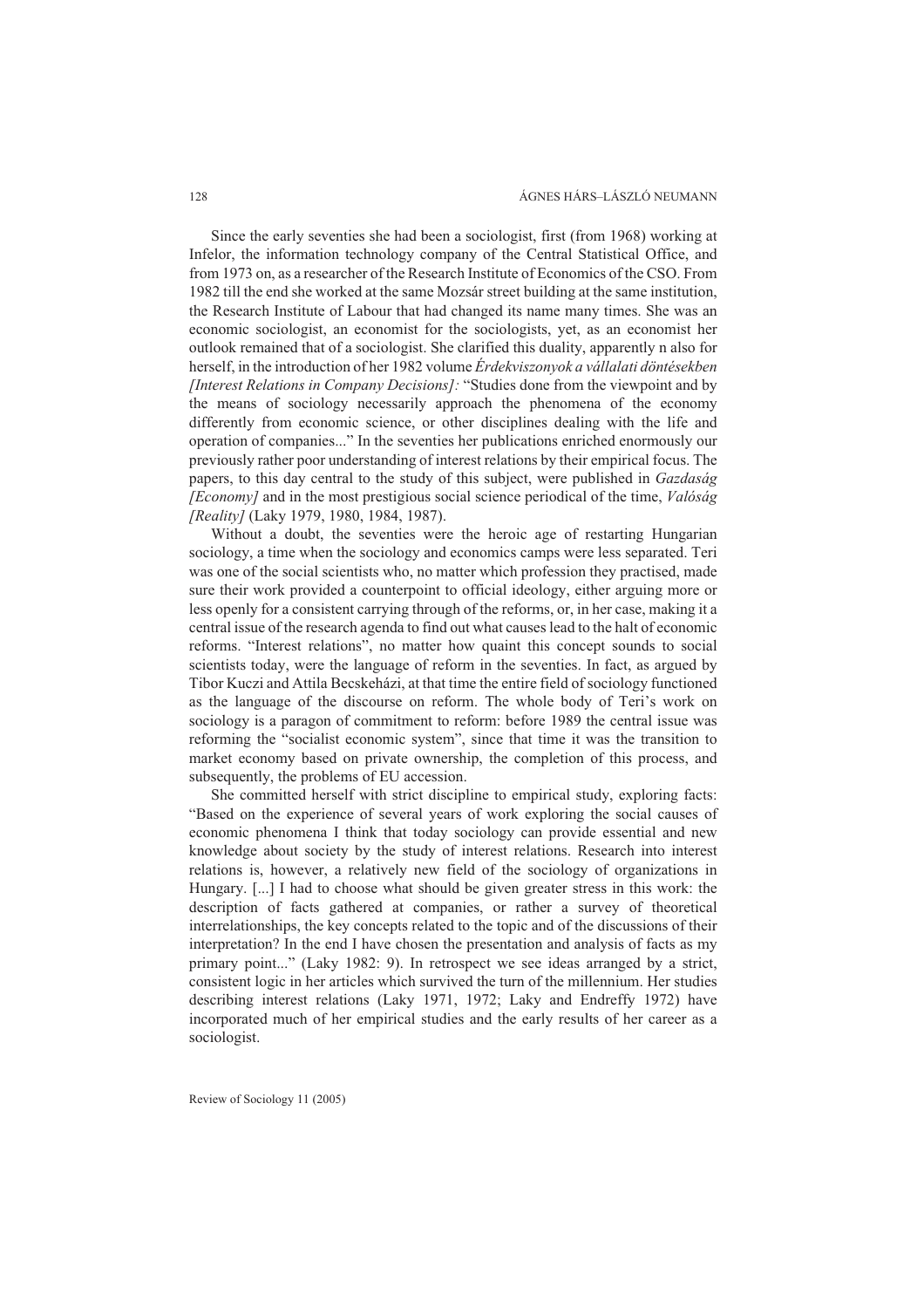Since the early seventies she had been a sociologist, first (from 1968) working at Infelor, the information technology company of the Central Statistical Office, and from 1973 on, as a researcher of the Research Institute of Economics of the CSO. From 1982 till the end she worked at the same Mozsár street building at the same institution, the Research Institute of Labour that had changed its name many times. She was an economic sociologist, an economist for the sociologists, yet, as an economist her outlook remained that of a sociologist. She clarified this duality, apparently n also for herself, in the introduction of her 1982 volume *Érdekviszonyok a vállalati döntésekben [Interest Relations in Company Decisions]:* "Studies done from the viewpoint and by the means of sociology necessarily approach the phenomena of the economy differently from economic science, or other disciplines dealing with the life and operation of companies..." In the seventies her publications enriched enormously our previously rather poor understanding of interest relations by their empirical focus. The papers, to this day central to the study of this subject, were published in *Gazdaság [Economy]* and in the most prestigious social science periodical of the time, *Valóság [Reality]* (Laky 1979, 1980, 1984, 1987).

Without a doubt, the seventies were the heroic age of restarting Hungarian sociology, a time when the sociology and economics camps were less separated. Teri was one of the social scientists who, no matter which profession they practised, made sure their work provided a counterpoint to official ideology, either arguing more or less openly for a consistent carrying through of the reforms, or, in her case, making it a central issue of the research agenda to find out what causes lead to the halt of economic reforms. "Interest relations", no matter how quaint this concept sounds to social scientists today, were the language of reform in the seventies. In fact, as argued by Tibor Kuczi and Attila Becskeházi, at that time the entire field of sociology functioned as the language of the discourse on reform. The whole body of Teri's work on sociology is a paragon of commitment to reform: before 1989 the central issue was reforming the "socialist economic system", since that time it was the transition to market economy based on private ownership, the completion of this process, and subsequently, the problems of EU accession.

She committed herself with strict discipline to empirical study, exploring facts: "Based on the experience of several years of work exploring the social causes of economic phenomena I think that today sociology can provide essential and new knowledge about society by the study of interest relations. Research into interest relations is, however, a relatively new field of the sociology of organizations in Hungary. [...] I had to choose what should be given greater stress in this work: the description of facts gathered at companies, or rather a survey of theoretical interrelationships, the key concepts related to the topic and of the discussions of their interpretation? In the end I have chosen the presentation and analysis of facts as my primary point..." (Laky 1982: 9). In retrospect we see ideas arranged by a strict, consistent logic in her articles which survived the turn of the millennium. Her studies describing interest relations (Laky 1971, 1972; Laky and Endreffy 1972) have incorporated much of her empirical studies and the early results of her career as a sociologist.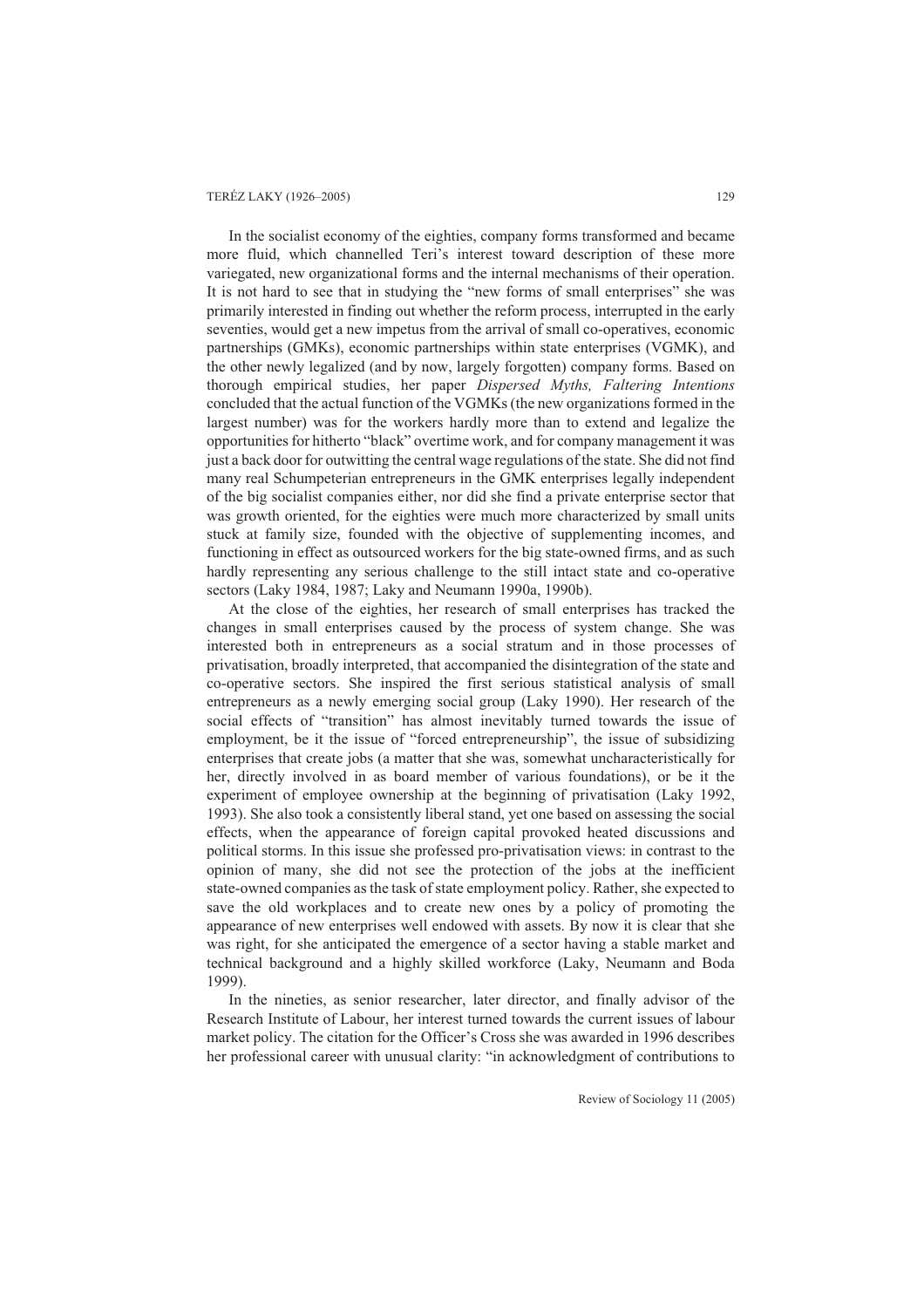### TERÉZ LAKY (1926–2005) 129

In the socialist economy of the eighties, company forms transformed and became more fluid, which channelled Teri's interest toward description of these more variegated, new organizational forms and the internal mechanisms of their operation. It is not hard to see that in studying the "new forms of small enterprises" she was primarily interested in finding out whether the reform process, interrupted in the early seventies, would get a new impetus from the arrival of small co-operatives, economic partnerships (GMKs), economic partnerships within state enterprises (VGMK), and the other newly legalized (and by now, largely forgotten) company forms. Based on thorough empirical studies, her paper *Dispersed Myths, Faltering Intentions* concluded that the actual function of the VGMKs (the new organizations formed in the largest number) was for the workers hardly more than to extend and legalize the opportunities for hitherto "black" overtime work, and for company management it was just a back door for outwitting the central wage regulations of the state. She did not find many real Schumpeterian entrepreneurs in the GMK enterprises legally independent of the big socialist companies either, nor did she find a private enterprise sector that was growth oriented, for the eighties were much more characterized by small units stuck at family size, founded with the objective of supplementing incomes, and functioning in effect as outsourced workers for the big state-owned firms, and as such hardly representing any serious challenge to the still intact state and co-operative sectors (Laky 1984, 1987; Laky and Neumann 1990a, 1990b).

At the close of the eighties, her research of small enterprises has tracked the changes in small enterprises caused by the process of system change. She was interested both in entrepreneurs as a social stratum and in those processes of privatisation, broadly interpreted, that accompanied the disintegration of the state and co-operative sectors. She inspired the first serious statistical analysis of small entrepreneurs as a newly emerging social group (Laky 1990). Her research of the social effects of "transition" has almost inevitably turned towards the issue of employment, be it the issue of "forced entrepreneurship", the issue of subsidizing enterprises that create jobs (a matter that she was, somewhat uncharacteristically for her, directly involved in as board member of various foundations), or be it the experiment of employee ownership at the beginning of privatisation (Laky 1992, 1993). She also took a consistently liberal stand, yet one based on assessing the social effects, when the appearance of foreign capital provoked heated discussions and political storms. In this issue she professed pro-privatisation views: in contrast to the opinion of many, she did not see the protection of the jobs at the inefficient state-owned companies as the task of state employment policy. Rather, she expected to save the old workplaces and to create new ones by a policy of promoting the appearance of new enterprises well endowed with assets. By now it is clear that she was right, for she anticipated the emergence of a sector having a stable market and technical background and a highly skilled workforce (Laky, Neumann and Boda 1999).

In the nineties, as senior researcher, later director, and finally advisor of the Research Institute of Labour, her interest turned towards the current issues of labour market policy. The citation for the Officer's Cross she was awarded in 1996 describes her professional career with unusual clarity: "in acknowledgment of contributions to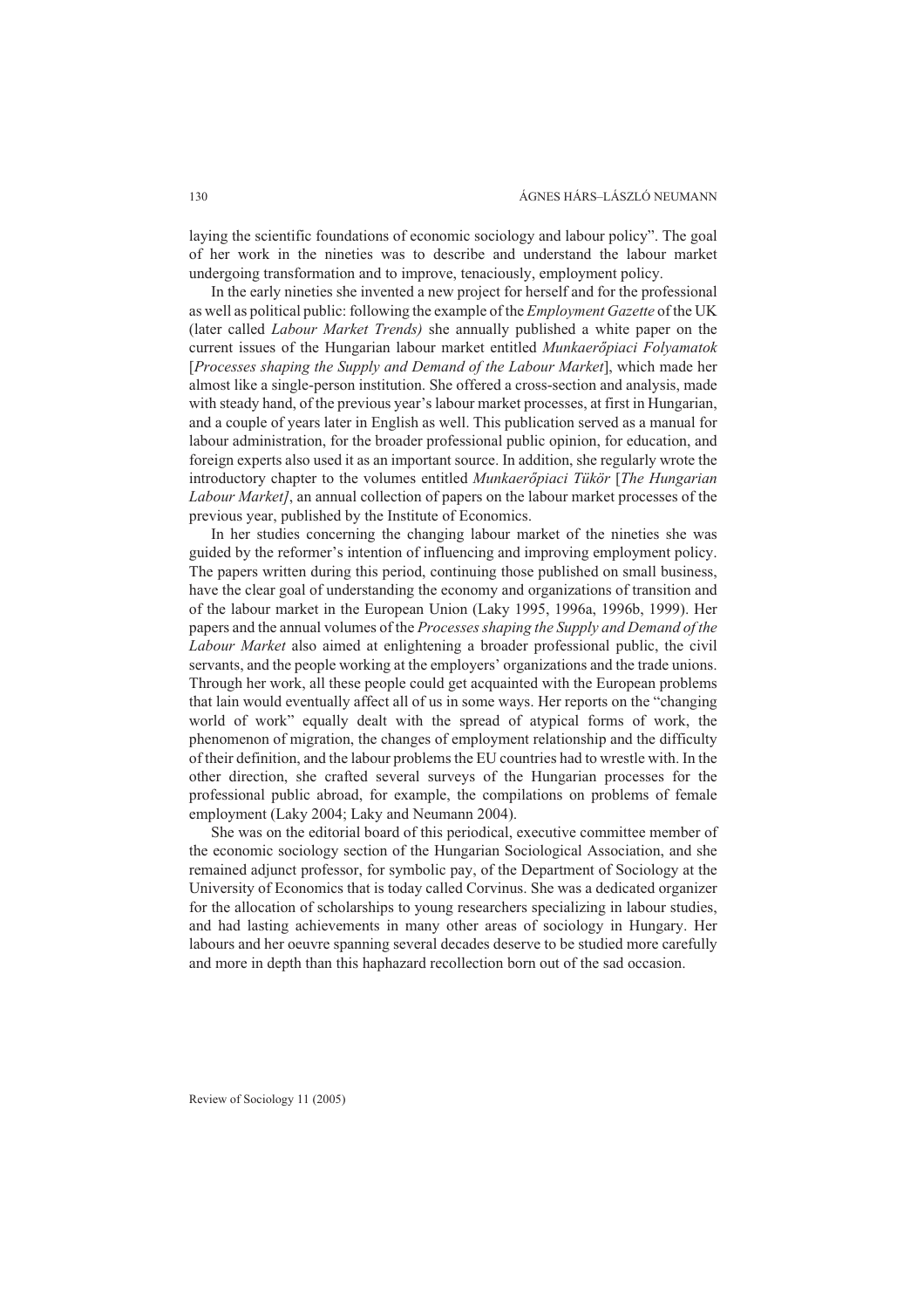laying the scientific foundations of economic sociology and labour policy". The goal of her work in the nineties was to describe and understand the labour market undergoing transformation and to improve, tenaciously, employment policy.

In the early nineties she invented a new project for herself and for the professional as well as political public: following the example of the *Employment Gazette* of the UK (later called *Labour Market Trends)* she annually published a white paper on the current issues of the Hungarian labour market entitled *Munkaerõpiaci Folyamatok* [*Processes shaping the Supply and Demand of the Labour Market*], which made her almost like a single-person institution. She offered a cross-section and analysis, made with steady hand, of the previous year's labour market processes, at first in Hungarian, and a couple of years later in English as well. This publication served as a manual for labour administration, for the broader professional public opinion, for education, and foreign experts also used it as an important source. In addition, she regularly wrote the introductory chapter to the volumes entitled *Munkaerõpiaci Tükör* [*The Hungarian Labour Market]*, an annual collection of papers on the labour market processes of the previous year, published by the Institute of Economics.

In her studies concerning the changing labour market of the nineties she was guided by the reformer's intention of influencing and improving employment policy. The papers written during this period, continuing those published on small business, have the clear goal of understanding the economy and organizations of transition and of the labour market in the European Union (Laky 1995, 1996a, 1996b, 1999). Her papers and the annual volumes of the *Processes shaping the Supply and Demand of the Labour Market* also aimed at enlightening a broader professional public, the civil servants, and the people working at the employers' organizations and the trade unions. Through her work, all these people could get acquainted with the European problems that lain would eventually affect all of us in some ways. Her reports on the "changing world of work" equally dealt with the spread of atypical forms of work, the phenomenon of migration, the changes of employment relationship and the difficulty of their definition, and the labour problems the EU countries had to wrestle with. In the other direction, she crafted several surveys of the Hungarian processes for the professional public abroad, for example, the compilations on problems of female employment (Laky 2004; Laky and Neumann 2004).

She was on the editorial board of this periodical, executive committee member of the economic sociology section of the Hungarian Sociological Association, and she remained adjunct professor, for symbolic pay, of the Department of Sociology at the University of Economics that is today called Corvinus. She was a dedicated organizer for the allocation of scholarships to young researchers specializing in labour studies, and had lasting achievements in many other areas of sociology in Hungary. Her labours and her oeuvre spanning several decades deserve to be studied more carefully and more in depth than this haphazard recollection born out of the sad occasion.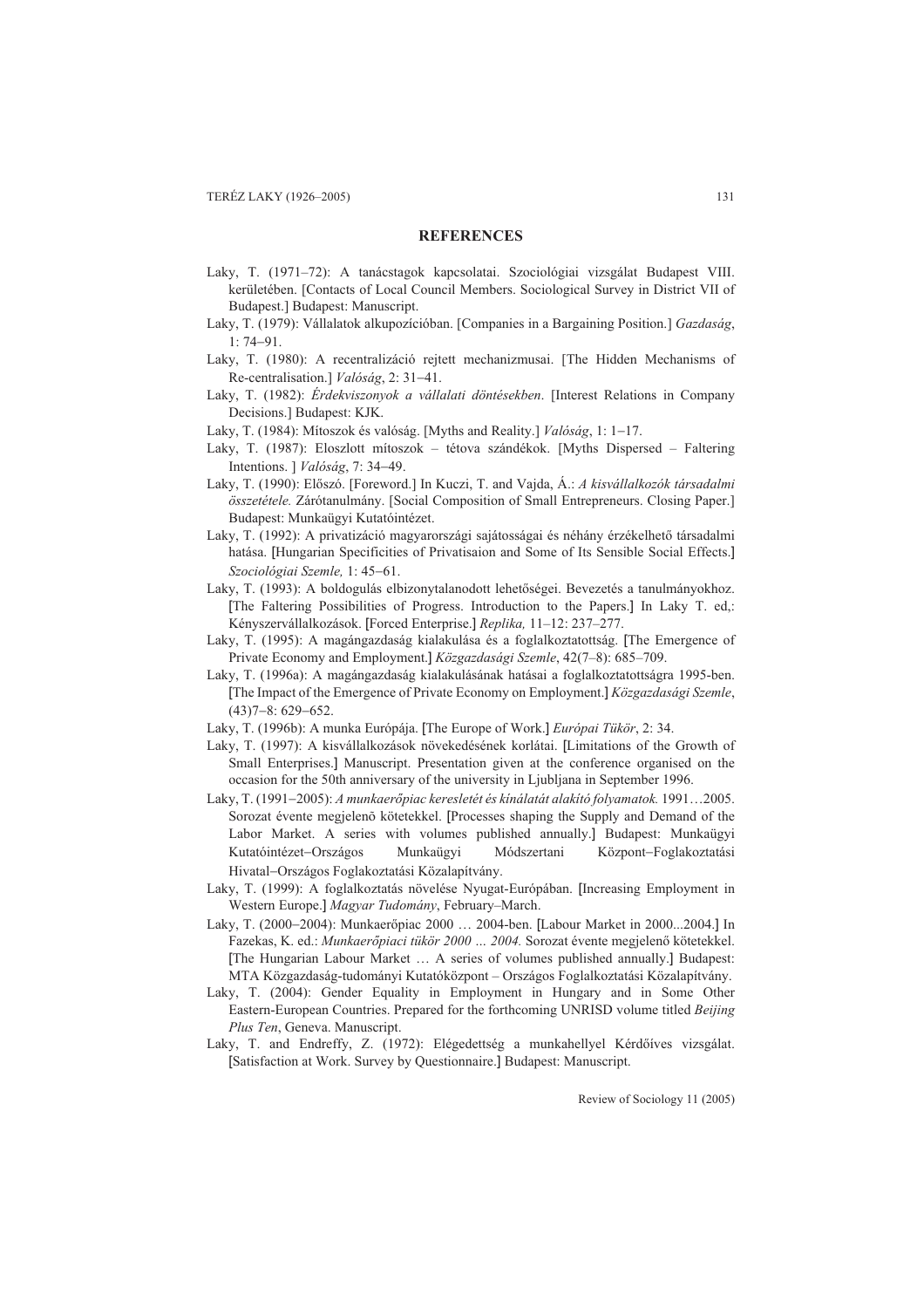#### **REFERENCES**

- Laky, T. (1971–72): A tanácstagok kapcsolatai. Szociológiai vizsgálat Budapest VIII. kerületében. [Contacts of Local Council Members. Sociological Survey in District VII of Budapest.] Budapest: Manuscript.
- Laky, T. (1979): Vállalatok alkupozícióban. [Companies in a Bargaining Position.] *Gazdaság*,  $1: 74 - 91$ .
- Laky, T. (1980): A recentralizáció rejtett mechanizmusai. [The Hidden Mechanisms of Re-centralisation.] *Valóság*, 2: 31-41.
- Laky, T. (1982): *Érdekviszonyok a vállalati döntésekben*. [Interest Relations in Company Decisions.] Budapest: KJK.
- Laky, T. (1984): Mítoszok és valóság. [Myths and Reality.] *Valóság*, 1: 1-17.
- Laky, T. (1987): Eloszlott mítoszok tétova szándékok. [Myths Dispersed Faltering Intentions. ] *Valóság*, 7: 34–49.
- Laky, T. (1990): Elõszó. [Foreword.] In Kuczi, T. and Vajda, Á.: *A kisvállalkozók társadalmi összetétele.* Zárótanulmány. [Social Composition of Small Entrepreneurs. Closing Paper.] Budapest: Munkaügyi Kutatóintézet.
- Laky, T. (1992): A privatizáció magyarországi sajátosságai és néhány érzékelhetõ társadalmi hatása. [Hungarian Specificities of Privatisaion and Some of Its Sensible Social Effects.] *Szociológiai Szemle, 1:45-61.*
- Laky, T. (1993): A boldogulás elbizonytalanodott lehetõségei. Bevezetés a tanulmányokhoz. [The Faltering Possibilities of Progress. Introduction to the Papers.] In Laky T. ed,: Kényszervállalkozások. [Forced Enterprise.] *Replika,* 11–12: 237–277.
- Laky, T. (1995): A magángazdaság kialakulása és a foglalkoztatottság. [The Emergence of Private Economy and Employment.] *Közgazdasági Szemle*, 42(7–8): 685–709.
- Laky, T. (1996a): A magángazdaság kialakulásának hatásai a foglalkoztatottságra 1995-ben. [The Impact of the Emergence of Private Economy on Employment.] *Közgazdasági Szemle*,  $(43)7 - 8: 629 - 652.$
- Laky, T. (1996b): A munka Európája. [The Europe of Work.] *Európai Tükör*, 2: 34.
- Laky, T. (1997): A kisvállalkozások növekedésének korlátai. [Limitations of the Growth of Small Enterprises.] Manuscript. Presentation given at the conference organised on the occasion for the 50th anniversary of the university in Ljubljana in September 1996.
- Laky, T. (1991-2005): *A munkaerőpiac keresletét és kínálatát alakító folyamatok*. 1991...2005. Sorozat évente megjelenő kötetekkel. [Processes shaping the Supply and Demand of the Labor Market. A series with volumes published annually.] Budapest: Munkaügyi Kutatóintézet–Országos Munkaügyi Módszertani Központ–Foglakoztatási Hivatal-Országos Foglakoztatási Közalapítvány.
- Laky, T. (1999): A foglalkoztatás növelése Nyugat-Európában. [Increasing Employment in Western Europe.] *Magyar Tudomány*, February–March.
- Laky, T. (20002004): Munkaerõpiac 2000 … 2004-ben. [Labour Market in 2000...2004.] In Fazekas, K. ed.: *Munkaerõpiaci tükör 2000 … 2004.* Sorozat évente megjelenõ kötetekkel. [The Hungarian Labour Market … A series of volumes published annually.] Budapest: MTA Közgazdaság-tudományi Kutatóközpont – Országos Foglalkoztatási Közalapítvány.
- Laky, T. (2004): Gender Equality in Employment in Hungary and in Some Other Eastern-European Countries. Prepared for the forthcoming UNRISD volume titled *Beijing Plus Ten*, Geneva. Manuscript.
- Laky, T. and Endreffy, Z. (1972): Elégedettség a munkahellyel Kérdõíves vizsgálat. [Satisfaction at Work. Survey by Questionnaire.] Budapest: Manuscript.